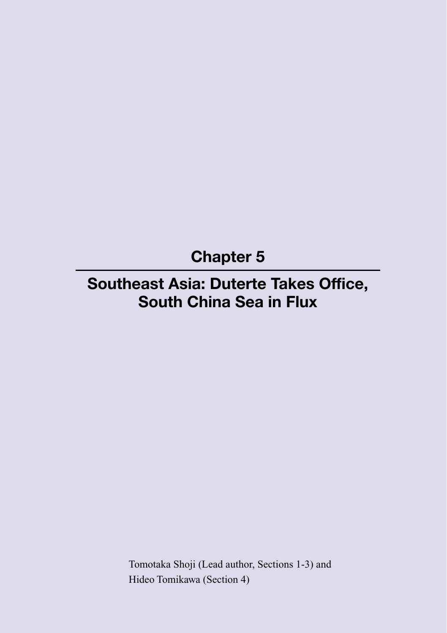**Chapter 5**

# **Southeast Asia: Duterte Takes Office, South China Sea in Flux**

Tomotaka Shoji (Lead author, Sections 1-3) and Hideo Tomikawa (Section 4)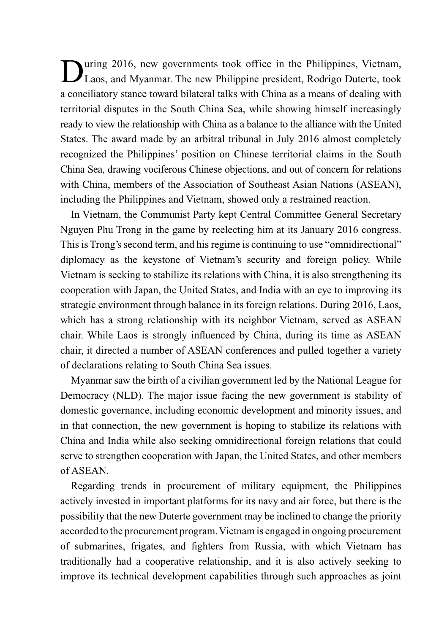During 2016, new governments took office in the Philippines, Vietnam, Laos, and Myanmar. The new Philippine president, Rodrigo Duterte, took a conciliatory stance toward bilateral talks with China as a means of dealing with territorial disputes in the South China Sea, while showing himself increasingly ready to view the relationship with China as a balance to the alliance with the United States. The award made by an arbitral tribunal in July 2016 almost completely recognized the Philippines' position on Chinese territorial claims in the South China Sea, drawing vociferous Chinese objections, and out of concern for relations with China, members of the Association of Southeast Asian Nations (ASEAN), including the Philippines and Vietnam, showed only a restrained reaction.

In Vietnam, the Communist Party kept Central Committee General Secretary Nguyen Phu Trong in the game by reelecting him at its January 2016 congress. This is Trong's second term, and his regime is continuing to use "omnidirectional" diplomacy as the keystone of Vietnam's security and foreign policy. While Vietnam is seeking to stabilize its relations with China, it is also strengthening its cooperation with Japan, the United States, and India with an eye to improving its strategic environment through balance in its foreign relations. During 2016, Laos, which has a strong relationship with its neighbor Vietnam, served as ASEAN chair. While Laos is strongly influenced by China, during its time as ASEAN chair, it directed a number of ASEAN conferences and pulled together a variety of declarations relating to South China Sea issues.

Myanmar saw the birth of a civilian government led by the National League for Democracy (NLD). The major issue facing the new government is stability of domestic governance, including economic development and minority issues, and in that connection, the new government is hoping to stabilize its relations with China and India while also seeking omnidirectional foreign relations that could serve to strengthen cooperation with Japan, the United States, and other members of ASEAN.

Regarding trends in procurement of military equipment, the Philippines actively invested in important platforms for its navy and air force, but there is the possibility that the new Duterte government may be inclined to change the priority accorded to the procurement program. Vietnam is engaged in ongoing procurement of submarines, frigates, and fighters from Russia, with which Vietnam has traditionally had a cooperative relationship, and it is also actively seeking to improve its technical development capabilities through such approaches as joint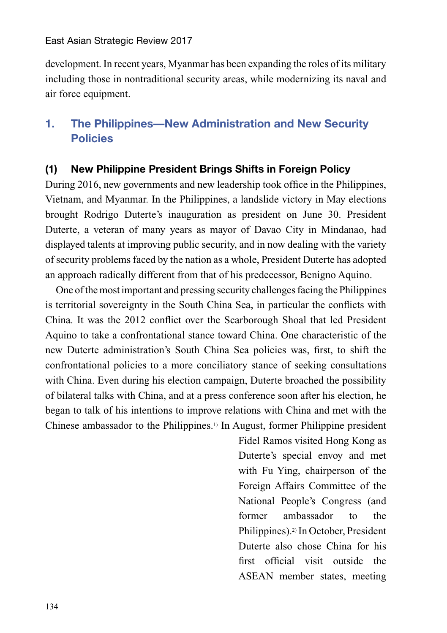development. In recent years, Myanmar has been expanding the roles of its military including those in nontraditional security areas, while modernizing its naval and air force equipment.

# **1. The Philippines—New Administration and New Security Policies**

### **(1) New Philippine President Brings Shifts in Foreign Policy**

During 2016, new governments and new leadership took office in the Philippines, Vietnam, and Myanmar. In the Philippines, a landslide victory in May elections brought Rodrigo Duterte's inauguration as president on June 30. President Duterte, a veteran of many years as mayor of Davao City in Mindanao, had displayed talents at improving public security, and in now dealing with the variety of security problems faced by the nation as a whole, President Duterte has adopted an approach radically different from that of his predecessor, Benigno Aquino.

One of the most important and pressing security challenges facing the Philippines is territorial sovereignty in the South China Sea, in particular the conflicts with China. It was the 2012 conflict over the Scarborough Shoal that led President Aquino to take a confrontational stance toward China. One characteristic of the new Duterte administration's South China Sea policies was, first, to shift the confrontational policies to a more conciliatory stance of seeking consultations with China. Even during his election campaign, Duterte broached the possibility of bilateral talks with China, and at a press conference soon after his election, he began to talk of his intentions to improve relations with China and met with the Chinese ambassador to the Philippines.1) In August, former Philippine president

> Fidel Ramos visited Hong Kong as Duterte's special envoy and met with Fu Ying, chairperson of the Foreign Affairs Committee of the National People's Congress (and former ambassador to the Philippines).2) In October, President Duterte also chose China for his first official visit outside the ASEAN member states, meeting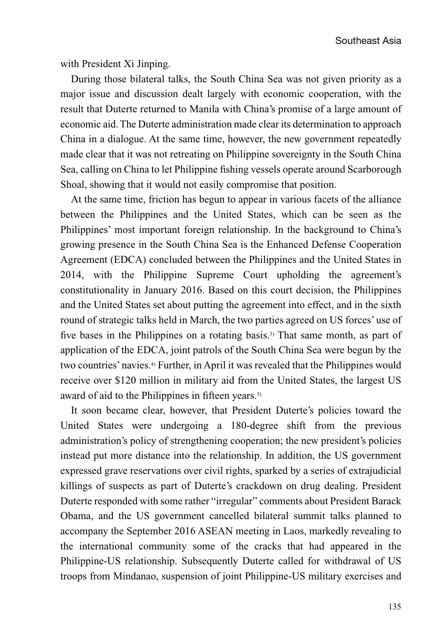Southeast Asia

with President Xi Jinping.

During those bilateral talks, the South China Sea was not given priority as a major issue and discussion dealt largely with economic cooperation, with the result that Duterte returned to Manila with China's promise of a large amount of economic aid. The Duterte administration made clear its determination to approach China in a dialogue. At the same time, however, the new government repeatedly made clear that it was not retreating on Philippine sovereignty in the South China Sea, calling on China to let Philippine fishing vessels operate around Scarborough Shoal, showing that it would not easily compromise that position.

At the same time, friction has begun to appear in various facets of the alliance between the Philippines and the United States, which can be seen as the Philippines' most important foreign relationship. In the background to China's growing presence in the South China Sea is the Enhanced Defense Cooperation Agreement (EDCA) concluded between the Philippines and the United States in 2014, with the Philippine Supreme Court upholding the agreement's constitutionality in January 2016. Based on this court decision, the Philippines and the United States set about putting the agreement into effect, and in the sixth round of strategic talks held in March, the two parties agreed on US forces' use of five bases in the Philippines on a rotating basis.<sup>3)</sup> That same month, as part of application of the EDCA, joint patrols of the South China Sea were begun by the two countries' navies.4) Further, in April it was revealed that the Philippines would receive over \$120 million in military aid from the United States, the largest US award of aid to the Philippines in fifteen years.<sup>5)</sup>

It soon became clear, however, that President Duterte's policies toward the United States were undergoing a 180-degree shift from the previous administration's policy of strengthening cooperation; the new president's policies instead put more distance into the relationship. In addition, the US government expressed grave reservations over civil rights, sparked by a series of extrajudicial killings of suspects as part of Duterte's crackdown on drug dealing. President Duterte responded with some rather "irregular" comments about President Barack Obama, and the US government cancelled bilateral summit talks planned to accompany the September 2016 ASEAN meeting in Laos, markedly revealing to the international community some of the cracks that had appeared in the Philippine-US relationship. Subsequently Duterte called for withdrawal of US troops from Mindanao, suspension of joint Philippine-US military exercises and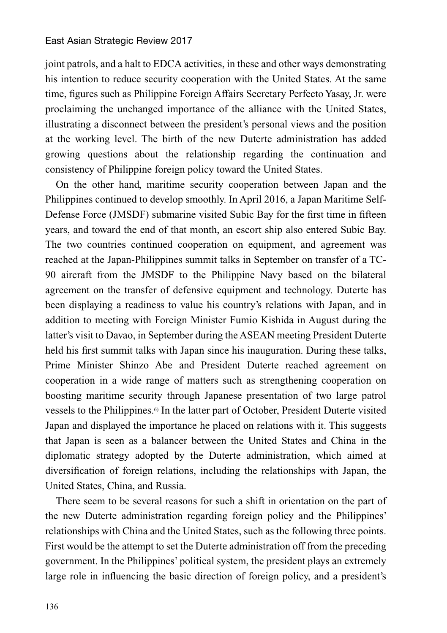joint patrols, and a halt to EDCA activities, in these and other ways demonstrating his intention to reduce security cooperation with the United States. At the same time, figures such as Philippine Foreign Affairs Secretary Perfecto Yasay, Jr. were proclaiming the unchanged importance of the alliance with the United States, illustrating a disconnect between the president's personal views and the position at the working level. The birth of the new Duterte administration has added growing questions about the relationship regarding the continuation and consistency of Philippine foreign policy toward the United States.

On the other hand, maritime security cooperation between Japan and the Philippines continued to develop smoothly. In April 2016, a Japan Maritime Self-Defense Force (JMSDF) submarine visited Subic Bay for the first time in fifteen years, and toward the end of that month, an escort ship also entered Subic Bay. The two countries continued cooperation on equipment, and agreement was reached at the Japan-Philippines summit talks in September on transfer of a TC-90 aircraft from the JMSDF to the Philippine Navy based on the bilateral agreement on the transfer of defensive equipment and technology. Duterte has been displaying a readiness to value his country's relations with Japan, and in addition to meeting with Foreign Minister Fumio Kishida in August during the latter's visit to Davao, in September during the ASEAN meeting President Duterte held his first summit talks with Japan since his inauguration. During these talks, Prime Minister Shinzo Abe and President Duterte reached agreement on cooperation in a wide range of matters such as strengthening cooperation on boosting maritime security through Japanese presentation of two large patrol vessels to the Philippines.6) In the latter part of October, President Duterte visited Japan and displayed the importance he placed on relations with it. This suggests that Japan is seen as a balancer between the United States and China in the diplomatic strategy adopted by the Duterte administration, which aimed at diversification of foreign relations, including the relationships with Japan, the United States, China, and Russia.

There seem to be several reasons for such a shift in orientation on the part of the new Duterte administration regarding foreign policy and the Philippines' relationships with China and the United States, such as the following three points. First would be the attempt to set the Duterte administration off from the preceding government. In the Philippines' political system, the president plays an extremely large role in influencing the basic direction of foreign policy, and a president's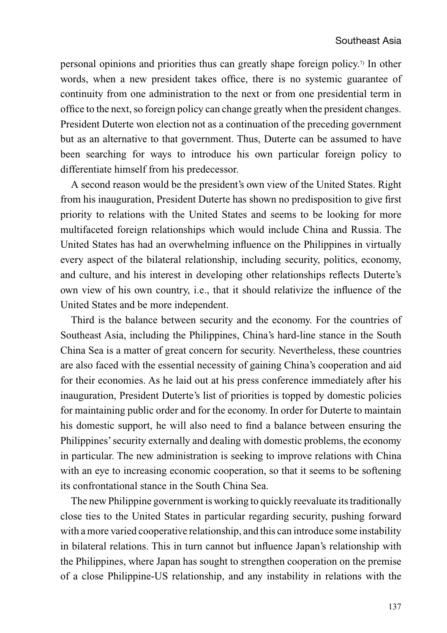personal opinions and priorities thus can greatly shape foreign policy.7) In other words, when a new president takes office, there is no systemic guarantee of continuity from one administration to the next or from one presidential term in office to the next, so foreign policy can change greatly when the president changes. President Duterte won election not as a continuation of the preceding government but as an alternative to that government. Thus, Duterte can be assumed to have been searching for ways to introduce his own particular foreign policy to differentiate himself from his predecessor.

A second reason would be the president's own view of the United States. Right from his inauguration, President Duterte has shown no predisposition to give first priority to relations with the United States and seems to be looking for more multifaceted foreign relationships which would include China and Russia. The United States has had an overwhelming influence on the Philippines in virtually every aspect of the bilateral relationship, including security, politics, economy, and culture, and his interest in developing other relationships reflects Duterte's own view of his own country, i.e., that it should relativize the influence of the United States and be more independent.

Third is the balance between security and the economy. For the countries of Southeast Asia, including the Philippines, China's hard-line stance in the South China Sea is a matter of great concern for security. Nevertheless, these countries are also faced with the essential necessity of gaining China's cooperation and aid for their economies. As he laid out at his press conference immediately after his inauguration, President Duterte's list of priorities is topped by domestic policies for maintaining public order and for the economy. In order for Duterte to maintain his domestic support, he will also need to find a balance between ensuring the Philippines' security externally and dealing with domestic problems, the economy in particular. The new administration is seeking to improve relations with China with an eye to increasing economic cooperation, so that it seems to be softening its confrontational stance in the South China Sea.

The new Philippine government is working to quickly reevaluate its traditionally close ties to the United States in particular regarding security, pushing forward with a more varied cooperative relationship, and this can introduce some instability in bilateral relations. This in turn cannot but influence Japan's relationship with the Philippines, where Japan has sought to strengthen cooperation on the premise of a close Philippine-US relationship, and any instability in relations with the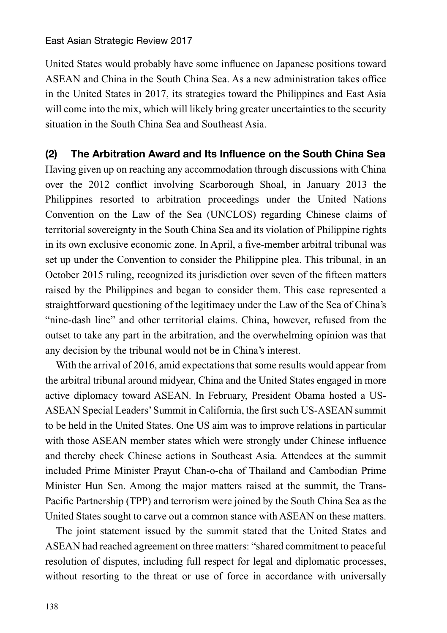United States would probably have some influence on Japanese positions toward ASEAN and China in the South China Sea. As a new administration takes office in the United States in 2017, its strategies toward the Philippines and East Asia will come into the mix, which will likely bring greater uncertainties to the security situation in the South China Sea and Southeast Asia.

### **(2) The Arbitration Award and Its Influence on the South China Sea**

Having given up on reaching any accommodation through discussions with China over the 2012 conflict involving Scarborough Shoal, in January 2013 the Philippines resorted to arbitration proceedings under the United Nations Convention on the Law of the Sea (UNCLOS) regarding Chinese claims of territorial sovereignty in the South China Sea and its violation of Philippine rights in its own exclusive economic zone. In April, a five-member arbitral tribunal was set up under the Convention to consider the Philippine plea. This tribunal, in an October 2015 ruling, recognized its jurisdiction over seven of the fifteen matters raised by the Philippines and began to consider them. This case represented a straightforward questioning of the legitimacy under the Law of the Sea of China's "nine-dash line" and other territorial claims. China, however, refused from the outset to take any part in the arbitration, and the overwhelming opinion was that any decision by the tribunal would not be in China's interest.

With the arrival of 2016, amid expectations that some results would appear from the arbitral tribunal around midyear, China and the United States engaged in more active diplomacy toward ASEAN. In February, President Obama hosted a US-ASEAN Special Leaders' Summit in California, the first such US-ASEAN summit to be held in the United States. One US aim was to improve relations in particular with those ASEAN member states which were strongly under Chinese influence and thereby check Chinese actions in Southeast Asia. Attendees at the summit included Prime Minister Prayut Chan-o-cha of Thailand and Cambodian Prime Minister Hun Sen. Among the major matters raised at the summit, the Trans-Pacific Partnership (TPP) and terrorism were joined by the South China Sea as the United States sought to carve out a common stance with ASEAN on these matters.

The joint statement issued by the summit stated that the United States and ASEAN had reached agreement on three matters: "shared commitment to peaceful resolution of disputes, including full respect for legal and diplomatic processes, without resorting to the threat or use of force in accordance with universally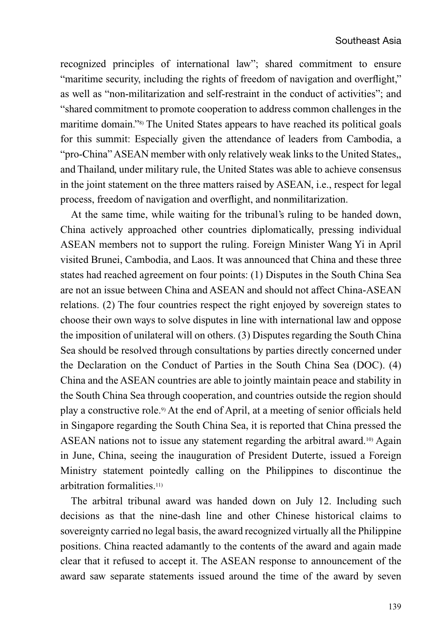recognized principles of international law"; shared commitment to ensure "maritime security, including the rights of freedom of navigation and overflight," as well as "non-militarization and self-restraint in the conduct of activities"; and "shared commitment to promote cooperation to address common challenges in the maritime domain."8) The United States appears to have reached its political goals for this summit: Especially given the attendance of leaders from Cambodia, a "pro-China" ASEAN member with only relatively weak links to the United States,, and Thailand, under military rule, the United States was able to achieve consensus in the joint statement on the three matters raised by ASEAN, i.e., respect for legal process, freedom of navigation and overflight, and nonmilitarization.

At the same time, while waiting for the tribunal's ruling to be handed down, China actively approached other countries diplomatically, pressing individual ASEAN members not to support the ruling. Foreign Minister Wang Yi in April visited Brunei, Cambodia, and Laos. It was announced that China and these three states had reached agreement on four points: (1) Disputes in the South China Sea are not an issue between China and ASEAN and should not affect China-ASEAN relations. (2) The four countries respect the right enjoyed by sovereign states to choose their own ways to solve disputes in line with international law and oppose the imposition of unilateral will on others. (3) Disputes regarding the South China Sea should be resolved through consultations by parties directly concerned under the Declaration on the Conduct of Parties in the South China Sea (DOC). (4) China and the ASEAN countries are able to jointly maintain peace and stability in the South China Sea through cooperation, and countries outside the region should play a constructive role.9) At the end of April, at a meeting of senior officials held in Singapore regarding the South China Sea, it is reported that China pressed the ASEAN nations not to issue any statement regarding the arbitral award.<sup>10)</sup> Again in June, China, seeing the inauguration of President Duterte, issued a Foreign Ministry statement pointedly calling on the Philippines to discontinue the arbitration formalities.11)

The arbitral tribunal award was handed down on July 12. Including such decisions as that the nine-dash line and other Chinese historical claims to sovereignty carried no legal basis, the award recognized virtually all the Philippine positions. China reacted adamantly to the contents of the award and again made clear that it refused to accept it. The ASEAN response to announcement of the award saw separate statements issued around the time of the award by seven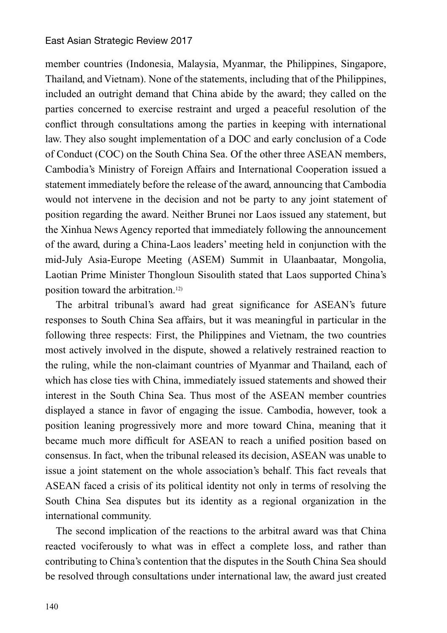member countries (Indonesia, Malaysia, Myanmar, the Philippines, Singapore, Thailand, and Vietnam). None of the statements, including that of the Philippines, included an outright demand that China abide by the award; they called on the parties concerned to exercise restraint and urged a peaceful resolution of the conflict through consultations among the parties in keeping with international law. They also sought implementation of a DOC and early conclusion of a Code of Conduct (COC) on the South China Sea. Of the other three ASEAN members, Cambodia's Ministry of Foreign Affairs and International Cooperation issued a statement immediately before the release of the award, announcing that Cambodia would not intervene in the decision and not be party to any joint statement of position regarding the award. Neither Brunei nor Laos issued any statement, but the Xinhua News Agency reported that immediately following the announcement of the award, during a China-Laos leaders' meeting held in conjunction with the mid-July Asia-Europe Meeting (ASEM) Summit in Ulaanbaatar, Mongolia, Laotian Prime Minister Thongloun Sisoulith stated that Laos supported China's position toward the arbitration.12)

The arbitral tribunal's award had great significance for ASEAN's future responses to South China Sea affairs, but it was meaningful in particular in the following three respects: First, the Philippines and Vietnam, the two countries most actively involved in the dispute, showed a relatively restrained reaction to the ruling, while the non-claimant countries of Myanmar and Thailand, each of which has close ties with China, immediately issued statements and showed their interest in the South China Sea. Thus most of the ASEAN member countries displayed a stance in favor of engaging the issue. Cambodia, however, took a position leaning progressively more and more toward China, meaning that it became much more difficult for ASEAN to reach a unified position based on consensus. In fact, when the tribunal released its decision, ASEAN was unable to issue a joint statement on the whole association's behalf. This fact reveals that ASEAN faced a crisis of its political identity not only in terms of resolving the South China Sea disputes but its identity as a regional organization in the international community.

The second implication of the reactions to the arbitral award was that China reacted vociferously to what was in effect a complete loss, and rather than contributing to China's contention that the disputes in the South China Sea should be resolved through consultations under international law, the award just created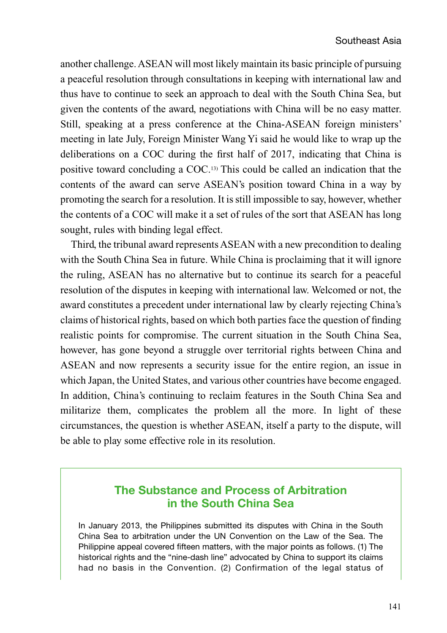another challenge. ASEAN will most likely maintain its basic principle of pursuing a peaceful resolution through consultations in keeping with international law and thus have to continue to seek an approach to deal with the South China Sea, but given the contents of the award, negotiations with China will be no easy matter. Still, speaking at a press conference at the China-ASEAN foreign ministers' meeting in late July, Foreign Minister Wang Yi said he would like to wrap up the deliberations on a COC during the first half of 2017, indicating that China is positive toward concluding a COC.13) This could be called an indication that the contents of the award can serve ASEAN's position toward China in a way by promoting the search for a resolution. It is still impossible to say, however, whether the contents of a COC will make it a set of rules of the sort that ASEAN has long sought, rules with binding legal effect.

Third, the tribunal award represents ASEAN with a new precondition to dealing with the South China Sea in future. While China is proclaiming that it will ignore the ruling, ASEAN has no alternative but to continue its search for a peaceful resolution of the disputes in keeping with international law. Welcomed or not, the award constitutes a precedent under international law by clearly rejecting China's claims of historical rights, based on which both parties face the question of finding realistic points for compromise. The current situation in the South China Sea, however, has gone beyond a struggle over territorial rights between China and ASEAN and now represents a security issue for the entire region, an issue in which Japan, the United States, and various other countries have become engaged. In addition, China's continuing to reclaim features in the South China Sea and militarize them, complicates the problem all the more. In light of these circumstances, the question is whether ASEAN, itself a party to the dispute, will be able to play some effective role in its resolution.

### **The Substance and Process of Arbitration in the South China Sea**

In January 2013, the Philippines submitted its disputes with China in the South China Sea to arbitration under the UN Convention on the Law of the Sea. The Philippine appeal covered fifteen matters, with the major points as follows. (1) The historical rights and the "nine-dash line" advocated by China to support its claims had no basis in the Convention. (2) Confirmation of the legal status of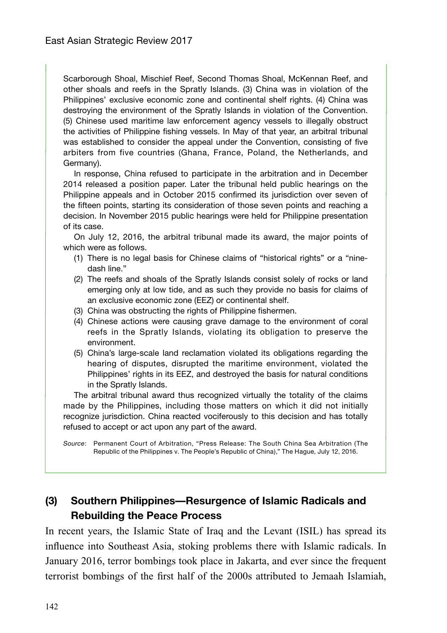Scarborough Shoal, Mischief Reef, Second Thomas Shoal, McKennan Reef, and other shoals and reefs in the Spratly Islands. (3) China was in violation of the Philippines' exclusive economic zone and continental shelf rights. (4) China was destroying the environment of the Spratly Islands in violation of the Convention. (5) Chinese used maritime law enforcement agency vessels to illegally obstruct the activities of Philippine fishing vessels. In May of that year, an arbitral tribunal was established to consider the appeal under the Convention, consisting of five arbiters from five countries (Ghana, France, Poland, the Netherlands, and Germany).

In response, China refused to participate in the arbitration and in December 2014 released a position paper. Later the tribunal held public hearings on the Philippine appeals and in October 2015 confirmed its jurisdiction over seven of the fifteen points, starting its consideration of those seven points and reaching a decision. In November 2015 public hearings were held for Philippine presentation of its case.

On July 12, 2016, the arbitral tribunal made its award, the major points of which were as follows.

- (1) There is no legal basis for Chinese claims of "historical rights" or a "ninedash line."
- (2) The reefs and shoals of the Spratly Islands consist solely of rocks or land emerging only at low tide, and as such they provide no basis for claims of an exclusive economic zone (EEZ) or continental shelf.
- (3) China was obstructing the rights of Philippine fishermen.
- (4) Chinese actions were causing grave damage to the environment of coral reefs in the Spratly Islands, violating its obligation to preserve the environment.
- (5) China's large-scale land reclamation violated its obligations regarding the hearing of disputes, disrupted the maritime environment, violated the Philippines' rights in its EEZ, and destroyed the basis for natural conditions in the Spratly Islands.

The arbitral tribunal award thus recognized virtually the totality of the claims made by the Philippines, including those matters on which it did not initially recognize jurisdiction. China reacted vociferously to this decision and has totally refused to accept or act upon any part of the award.

Source: Permanent Court of Arbitration, "Press Release: The South China Sea Arbitration (The Republic of the Philippines v. The People's Republic of China)," The Hague, July 12, 2016.

## **(3) Southern Philippines—Resurgence of Islamic Radicals and Rebuilding the Peace Process**

In recent years, the Islamic State of Iraq and the Levant (ISIL) has spread its influence into Southeast Asia, stoking problems there with Islamic radicals. In January 2016, terror bombings took place in Jakarta, and ever since the frequent terrorist bombings of the first half of the 2000s attributed to Jemaah Islamiah,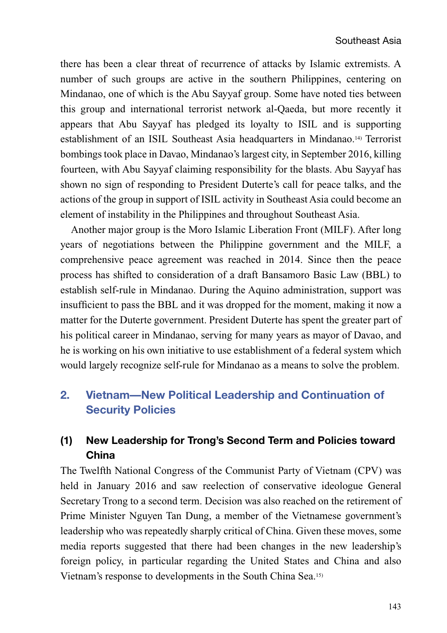there has been a clear threat of recurrence of attacks by Islamic extremists. A number of such groups are active in the southern Philippines, centering on Mindanao, one of which is the Abu Sayyaf group. Some have noted ties between this group and international terrorist network al-Qaeda, but more recently it appears that Abu Sayyaf has pledged its loyalty to ISIL and is supporting establishment of an ISIL Southeast Asia headquarters in Mindanao.14) Terrorist bombings took place in Davao, Mindanao's largest city, in September 2016, killing fourteen, with Abu Sayyaf claiming responsibility for the blasts. Abu Sayyaf has shown no sign of responding to President Duterte's call for peace talks, and the actions of the group in support of ISIL activity in Southeast Asia could become an element of instability in the Philippines and throughout Southeast Asia.

Another major group is the Moro Islamic Liberation Front (MILF). After long years of negotiations between the Philippine government and the MILF, a comprehensive peace agreement was reached in 2014. Since then the peace process has shifted to consideration of a draft Bansamoro Basic Law (BBL) to establish self-rule in Mindanao. During the Aquino administration, support was insufficient to pass the BBL and it was dropped for the moment, making it now a matter for the Duterte government. President Duterte has spent the greater part of his political career in Mindanao, serving for many years as mayor of Davao, and he is working on his own initiative to use establishment of a federal system which would largely recognize self-rule for Mindanao as a means to solve the problem.

# **2. Vietnam—New Political Leadership and Continuation of Security Policies**

# **(1) New Leadership for Trong's Second Term and Policies toward China**

The Twelfth National Congress of the Communist Party of Vietnam (CPV) was held in January 2016 and saw reelection of conservative ideologue General Secretary Trong to a second term. Decision was also reached on the retirement of Prime Minister Nguyen Tan Dung, a member of the Vietnamese government's leadership who was repeatedly sharply critical of China. Given these moves, some media reports suggested that there had been changes in the new leadership's foreign policy, in particular regarding the United States and China and also Vietnam's response to developments in the South China Sea.15)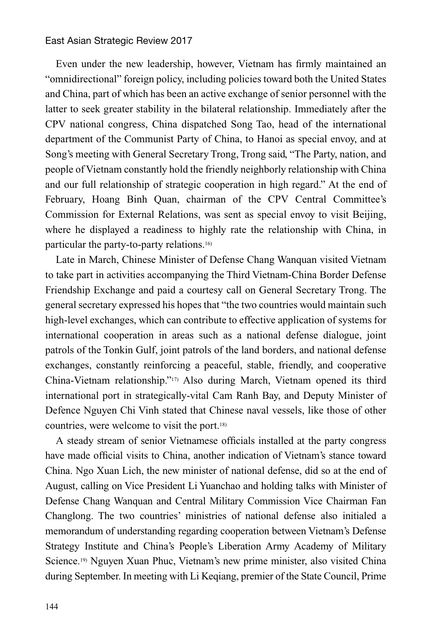Even under the new leadership, however, Vietnam has firmly maintained an "omnidirectional" foreign policy, including policies toward both the United States and China, part of which has been an active exchange of senior personnel with the latter to seek greater stability in the bilateral relationship. Immediately after the CPV national congress, China dispatched Song Tao, head of the international department of the Communist Party of China, to Hanoi as special envoy, and at Song's meeting with General Secretary Trong, Trong said, "The Party, nation, and people of Vietnam constantly hold the friendly neighborly relationship with China and our full relationship of strategic cooperation in high regard." At the end of February, Hoang Binh Quan, chairman of the CPV Central Committee's Commission for External Relations, was sent as special envoy to visit Beijing, where he displayed a readiness to highly rate the relationship with China, in particular the party-to-party relations.16)

Late in March, Chinese Minister of Defense Chang Wanquan visited Vietnam to take part in activities accompanying the Third Vietnam-China Border Defense Friendship Exchange and paid a courtesy call on General Secretary Trong. The general secretary expressed his hopes that "the two countries would maintain such high-level exchanges, which can contribute to effective application of systems for international cooperation in areas such as a national defense dialogue, joint patrols of the Tonkin Gulf, joint patrols of the land borders, and national defense exchanges, constantly reinforcing a peaceful, stable, friendly, and cooperative China-Vietnam relationship."17) Also during March, Vietnam opened its third international port in strategically-vital Cam Ranh Bay, and Deputy Minister of Defence Nguyen Chi Vinh stated that Chinese naval vessels, like those of other countries, were welcome to visit the port.18)

A steady stream of senior Vietnamese officials installed at the party congress have made official visits to China, another indication of Vietnam's stance toward China. Ngo Xuan Lich, the new minister of national defense, did so at the end of August, calling on Vice President Li Yuanchao and holding talks with Minister of Defense Chang Wanquan and Central Military Commission Vice Chairman Fan Changlong. The two countries' ministries of national defense also initialed a memorandum of understanding regarding cooperation between Vietnam's Defense Strategy Institute and China's People's Liberation Army Academy of Military Science.19) Nguyen Xuan Phuc, Vietnam's new prime minister, also visited China during September. In meeting with Li Keqiang, premier of the State Council, Prime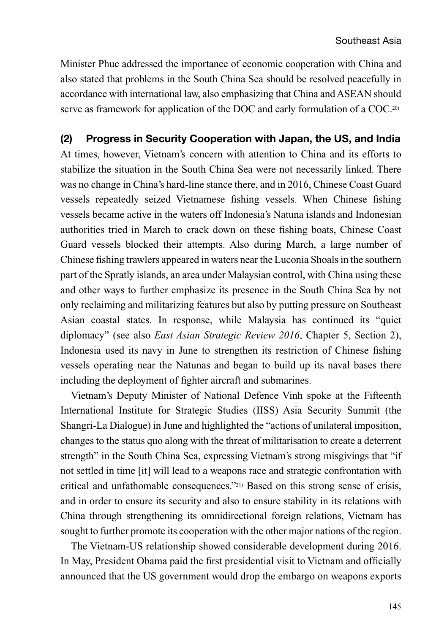Minister Phuc addressed the importance of economic cooperation with China and also stated that problems in the South China Sea should be resolved peacefully in accordance with international law, also emphasizing that China and ASEAN should serve as framework for application of the DOC and early formulation of a COC.<sup>20)</sup>

**(2) Progress in Security Cooperation with Japan, the US, and India** At times, however, Vietnam's concern with attention to China and its efforts to stabilize the situation in the South China Sea were not necessarily linked. There was no change in China's hard-line stance there, and in 2016, Chinese Coast Guard vessels repeatedly seized Vietnamese fishing vessels. When Chinese fishing vessels became active in the waters off Indonesia's Natuna islands and Indonesian authorities tried in March to crack down on these fishing boats, Chinese Coast Guard vessels blocked their attempts. Also during March, a large number of Chinese fishing trawlers appeared in waters near the Luconia Shoals in the southern part of the Spratly islands, an area under Malaysian control, with China using these and other ways to further emphasize its presence in the South China Sea by not only reclaiming and militarizing features but also by putting pressure on Southeast Asian coastal states. In response, while Malaysia has continued its "quiet diplomacy" (see also *East Asian Strategic Review 2016*, Chapter 5, Section 2), Indonesia used its navy in June to strengthen its restriction of Chinese fishing vessels operating near the Natunas and began to build up its naval bases there including the deployment of fighter aircraft and submarines.

Vietnam's Deputy Minister of National Defence Vinh spoke at the Fifteenth International Institute for Strategic Studies (IISS) Asia Security Summit (the Shangri-La Dialogue) in June and highlighted the "actions of unilateral imposition, changes to the status quo along with the threat of militarisation to create a deterrent strength" in the South China Sea, expressing Vietnam's strong misgivings that "if not settled in time [it] will lead to a weapons race and strategic confrontation with critical and unfathomable consequences."21) Based on this strong sense of crisis, and in order to ensure its security and also to ensure stability in its relations with China through strengthening its omnidirectional foreign relations, Vietnam has sought to further promote its cooperation with the other major nations of the region.

The Vietnam-US relationship showed considerable development during 2016. In May, President Obama paid the first presidential visit to Vietnam and officially announced that the US government would drop the embargo on weapons exports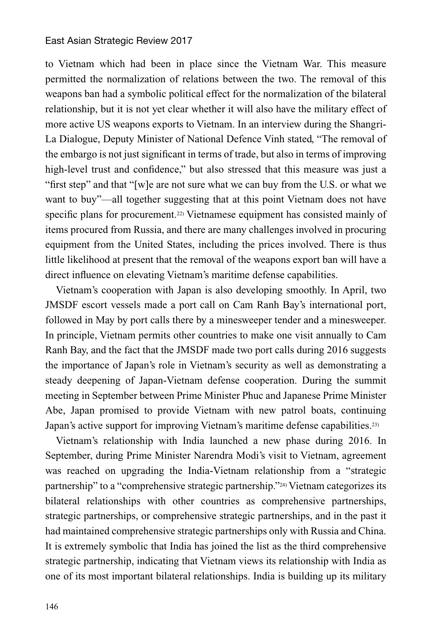to Vietnam which had been in place since the Vietnam War. This measure permitted the normalization of relations between the two. The removal of this weapons ban had a symbolic political effect for the normalization of the bilateral relationship, but it is not yet clear whether it will also have the military effect of more active US weapons exports to Vietnam. In an interview during the Shangri-La Dialogue, Deputy Minister of National Defence Vinh stated, "The removal of the embargo is not just significant in terms of trade, but also in terms of improving high-level trust and confidence," but also stressed that this measure was just a "first step" and that "[w]e are not sure what we can buy from the U.S. or what we want to buy"—all together suggesting that at this point Vietnam does not have specific plans for procurement.<sup>22</sup> Vietnamese equipment has consisted mainly of items procured from Russia, and there are many challenges involved in procuring equipment from the United States, including the prices involved. There is thus little likelihood at present that the removal of the weapons export ban will have a direct influence on elevating Vietnam's maritime defense capabilities.

Vietnam's cooperation with Japan is also developing smoothly. In April, two JMSDF escort vessels made a port call on Cam Ranh Bay's international port, followed in May by port calls there by a minesweeper tender and a minesweeper. In principle, Vietnam permits other countries to make one visit annually to Cam Ranh Bay, and the fact that the JMSDF made two port calls during 2016 suggests the importance of Japan's role in Vietnam's security as well as demonstrating a steady deepening of Japan-Vietnam defense cooperation. During the summit meeting in September between Prime Minister Phuc and Japanese Prime Minister Abe, Japan promised to provide Vietnam with new patrol boats, continuing Japan's active support for improving Vietnam's maritime defense capabilities.<sup>23)</sup>

Vietnam's relationship with India launched a new phase during 2016. In September, during Prime Minister Narendra Modi's visit to Vietnam, agreement was reached on upgrading the India-Vietnam relationship from a "strategic partnership" to a "comprehensive strategic partnership."24) Vietnam categorizes its bilateral relationships with other countries as comprehensive partnerships, strategic partnerships, or comprehensive strategic partnerships, and in the past it had maintained comprehensive strategic partnerships only with Russia and China. It is extremely symbolic that India has joined the list as the third comprehensive strategic partnership, indicating that Vietnam views its relationship with India as one of its most important bilateral relationships. India is building up its military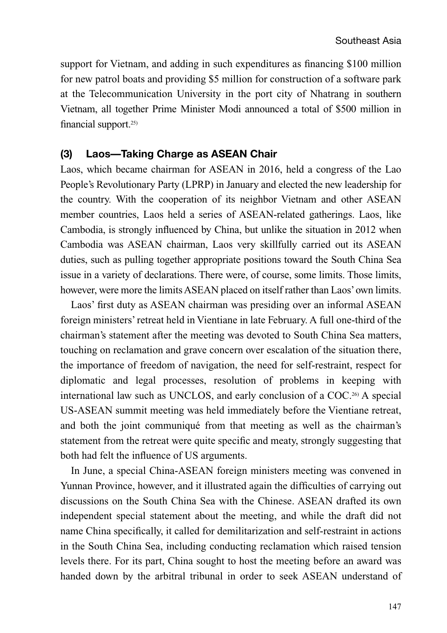support for Vietnam, and adding in such expenditures as financing \$100 million for new patrol boats and providing \$5 million for construction of a software park at the Telecommunication University in the port city of Nhatrang in southern Vietnam, all together Prime Minister Modi announced a total of \$500 million in financial support.25)

### **(3) Laos—Taking Charge as ASEAN Chair**

Laos, which became chairman for ASEAN in 2016, held a congress of the Lao People's Revolutionary Party (LPRP) in January and elected the new leadership for the country. With the cooperation of its neighbor Vietnam and other ASEAN member countries, Laos held a series of ASEAN-related gatherings. Laos, like Cambodia, is strongly influenced by China, but unlike the situation in 2012 when Cambodia was ASEAN chairman, Laos very skillfully carried out its ASEAN duties, such as pulling together appropriate positions toward the South China Sea issue in a variety of declarations. There were, of course, some limits. Those limits, however, were more the limits ASEAN placed on itself rather than Laos' own limits.

Laos' first duty as ASEAN chairman was presiding over an informal ASEAN foreign ministers' retreat held in Vientiane in late February. A full one-third of the chairman's statement after the meeting was devoted to South China Sea matters, touching on reclamation and grave concern over escalation of the situation there, the importance of freedom of navigation, the need for self-restraint, respect for diplomatic and legal processes, resolution of problems in keeping with international law such as UNCLOS, and early conclusion of a COC.26) A special US-ASEAN summit meeting was held immediately before the Vientiane retreat, and both the joint communiqué from that meeting as well as the chairman's statement from the retreat were quite specific and meaty, strongly suggesting that both had felt the influence of US arguments.

In June, a special China-ASEAN foreign ministers meeting was convened in Yunnan Province, however, and it illustrated again the difficulties of carrying out discussions on the South China Sea with the Chinese. ASEAN drafted its own independent special statement about the meeting, and while the draft did not name China specifically, it called for demilitarization and self-restraint in actions in the South China Sea, including conducting reclamation which raised tension levels there. For its part, China sought to host the meeting before an award was handed down by the arbitral tribunal in order to seek ASEAN understand of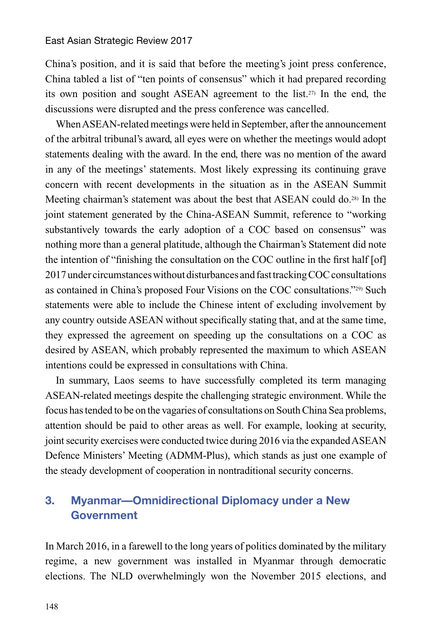China's position, and it is said that before the meeting's joint press conference, China tabled a list of "ten points of consensus" which it had prepared recording its own position and sought ASEAN agreement to the list.27) In the end, the discussions were disrupted and the press conference was cancelled.

When ASEAN-related meetings were held in September, after the announcement of the arbitral tribunal's award, all eyes were on whether the meetings would adopt statements dealing with the award. In the end, there was no mention of the award in any of the meetings' statements. Most likely expressing its continuing grave concern with recent developments in the situation as in the ASEAN Summit Meeting chairman's statement was about the best that ASEAN could do.28) In the joint statement generated by the China-ASEAN Summit, reference to "working substantively towards the early adoption of a COC based on consensus" was nothing more than a general platitude, although the Chairman's Statement did note the intention of "finishing the consultation on the COC outline in the first half [of] 2017 under circumstances without disturbances and fast tracking COC consultations as contained in China's proposed Four Visions on the COC consultations."29) Such statements were able to include the Chinese intent of excluding involvement by any country outside ASEAN without specifically stating that, and at the same time, they expressed the agreement on speeding up the consultations on a COC as desired by ASEAN, which probably represented the maximum to which ASEAN intentions could be expressed in consultations with China.

In summary, Laos seems to have successfully completed its term managing ASEAN-related meetings despite the challenging strategic environment. While the focus has tended to be on the vagaries of consultations on South China Sea problems, attention should be paid to other areas as well. For example, looking at security, joint security exercises were conducted twice during 2016 via the expanded ASEAN Defence Ministers' Meeting (ADMM-Plus), which stands as just one example of the steady development of cooperation in nontraditional security concerns.

# **3. Myanmar—Omnidirectional Diplomacy under a New Government**

In March 2016, in a farewell to the long years of politics dominated by the military regime, a new government was installed in Myanmar through democratic elections. The NLD overwhelmingly won the November 2015 elections, and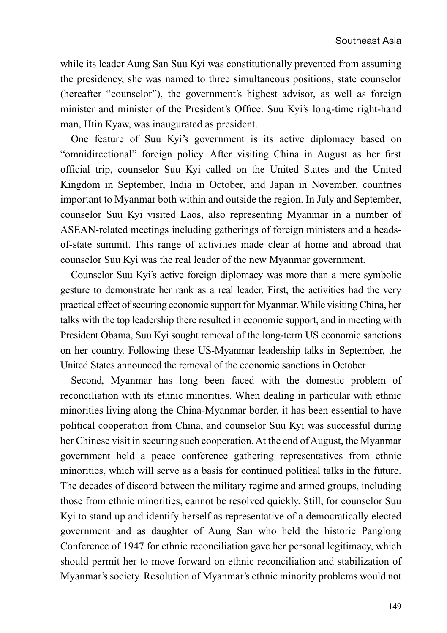while its leader Aung San Suu Kyi was constitutionally prevented from assuming the presidency, she was named to three simultaneous positions, state counselor (hereafter "counselor"), the government's highest advisor, as well as foreign minister and minister of the President's Office. Suu Kyi's long-time right-hand man, Htin Kyaw, was inaugurated as president.

One feature of Suu Kyi's government is its active diplomacy based on "omnidirectional" foreign policy. After visiting China in August as her first official trip, counselor Suu Kyi called on the United States and the United Kingdom in September, India in October, and Japan in November, countries important to Myanmar both within and outside the region. In July and September, counselor Suu Kyi visited Laos, also representing Myanmar in a number of ASEAN-related meetings including gatherings of foreign ministers and a headsof-state summit. This range of activities made clear at home and abroad that counselor Suu Kyi was the real leader of the new Myanmar government.

Counselor Suu Kyi's active foreign diplomacy was more than a mere symbolic gesture to demonstrate her rank as a real leader. First, the activities had the very practical effect of securing economic support for Myanmar. While visiting China, her talks with the top leadership there resulted in economic support, and in meeting with President Obama, Suu Kyi sought removal of the long-term US economic sanctions on her country. Following these US-Myanmar leadership talks in September, the United States announced the removal of the economic sanctions in October.

Second, Myanmar has long been faced with the domestic problem of reconciliation with its ethnic minorities. When dealing in particular with ethnic minorities living along the China-Myanmar border, it has been essential to have political cooperation from China, and counselor Suu Kyi was successful during her Chinese visit in securing such cooperation. At the end of August, the Myanmar government held a peace conference gathering representatives from ethnic minorities, which will serve as a basis for continued political talks in the future. The decades of discord between the military regime and armed groups, including those from ethnic minorities, cannot be resolved quickly. Still, for counselor Suu Kyi to stand up and identify herself as representative of a democratically elected government and as daughter of Aung San who held the historic Panglong Conference of 1947 for ethnic reconciliation gave her personal legitimacy, which should permit her to move forward on ethnic reconciliation and stabilization of Myanmar's society. Resolution of Myanmar's ethnic minority problems would not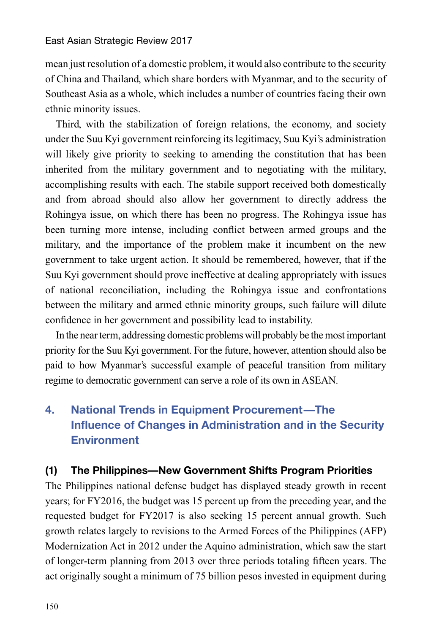mean just resolution of a domestic problem, it would also contribute to the security of China and Thailand, which share borders with Myanmar, and to the security of Southeast Asia as a whole, which includes a number of countries facing their own ethnic minority issues.

Third, with the stabilization of foreign relations, the economy, and society under the Suu Kyi government reinforcing its legitimacy, Suu Kyi's administration will likely give priority to seeking to amending the constitution that has been inherited from the military government and to negotiating with the military, accomplishing results with each. The stabile support received both domestically and from abroad should also allow her government to directly address the Rohingya issue, on which there has been no progress. The Rohingya issue has been turning more intense, including conflict between armed groups and the military, and the importance of the problem make it incumbent on the new government to take urgent action. It should be remembered, however, that if the Suu Kyi government should prove ineffective at dealing appropriately with issues of national reconciliation, including the Rohingya issue and confrontations between the military and armed ethnic minority groups, such failure will dilute confidence in her government and possibility lead to instability.

In the near term, addressing domestic problems will probably be the most important priority for the Suu Kyi government. For the future, however, attention should also be paid to how Myanmar's successful example of peaceful transition from military regime to democratic government can serve a role of its own in ASEAN.

# **4. National Trends in Equipment Procurement—The Influence of Changes in Administration and in the Security Environment**

### **(1) The Philippines—New Government Shifts Program Priorities**

The Philippines national defense budget has displayed steady growth in recent years; for FY2016, the budget was 15 percent up from the preceding year, and the requested budget for FY2017 is also seeking 15 percent annual growth. Such growth relates largely to revisions to the Armed Forces of the Philippines (AFP) Modernization Act in 2012 under the Aquino administration, which saw the start of longer-term planning from 2013 over three periods totaling fifteen years. The act originally sought a minimum of 75 billion pesos invested in equipment during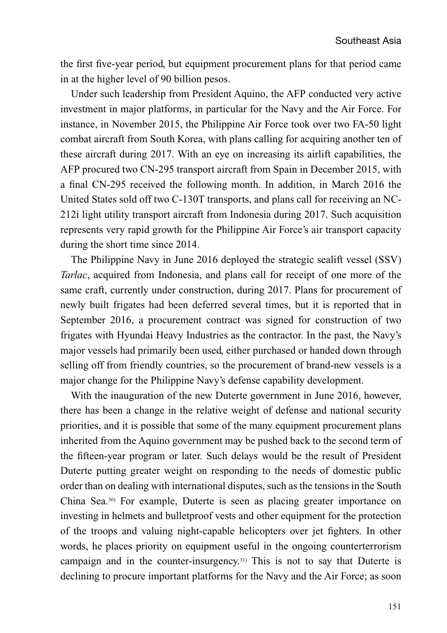the first five-year period, but equipment procurement plans for that period came in at the higher level of 90 billion pesos.

Under such leadership from President Aquino, the AFP conducted very active investment in major platforms, in particular for the Navy and the Air Force. For instance, in November 2015, the Philippine Air Force took over two FA-50 light combat aircraft from South Korea, with plans calling for acquiring another ten of these aircraft during 2017. With an eye on increasing its airlift capabilities, the AFP procured two CN-295 transport aircraft from Spain in December 2015, with a final CN-295 received the following month. In addition, in March 2016 the United States sold off two C-130T transports, and plans call for receiving an NC-212i light utility transport aircraft from Indonesia during 2017. Such acquisition represents very rapid growth for the Philippine Air Force's air transport capacity during the short time since 2014.

The Philippine Navy in June 2016 deployed the strategic sealift vessel (SSV) *Tarlac*, acquired from Indonesia, and plans call for receipt of one more of the same craft, currently under construction, during 2017. Plans for procurement of newly built frigates had been deferred several times, but it is reported that in September 2016, a procurement contract was signed for construction of two frigates with Hyundai Heavy Industries as the contractor. In the past, the Navy's major vessels had primarily been used, either purchased or handed down through selling off from friendly countries, so the procurement of brand-new vessels is a major change for the Philippine Navy's defense capability development.

With the inauguration of the new Duterte government in June 2016, however, there has been a change in the relative weight of defense and national security priorities, and it is possible that some of the many equipment procurement plans inherited from the Aquino government may be pushed back to the second term of the fifteen-year program or later. Such delays would be the result of President Duterte putting greater weight on responding to the needs of domestic public order than on dealing with international disputes, such as the tensions in the South China Sea.30) For example, Duterte is seen as placing greater importance on investing in helmets and bulletproof vests and other equipment for the protection of the troops and valuing night-capable helicopters over jet fighters. In other words, he places priority on equipment useful in the ongoing counterterrorism campaign and in the counter-insurgency.31) This is not to say that Duterte is declining to procure important platforms for the Navy and the Air Force; as soon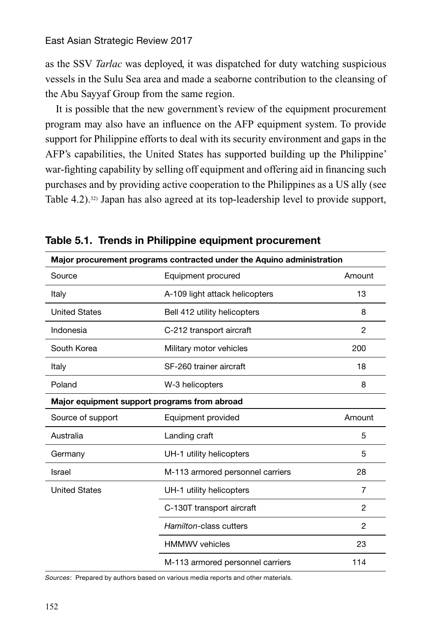as the SSV *Tarlac* was deployed, it was dispatched for duty watching suspicious vessels in the Sulu Sea area and made a seaborne contribution to the cleansing of the Abu Sayyaf Group from the same region.

It is possible that the new government's review of the equipment procurement program may also have an influence on the AFP equipment system. To provide support for Philippine efforts to deal with its security environment and gaps in the AFP's capabilities, the United States has supported building up the Philippine' war-fighting capability by selling off equipment and offering aid in financing such purchases and by providing active cooperation to the Philippines as a US ally (see Table 4.2).32) Japan has also agreed at its top-leadership level to provide support,

| Major procurement programs contracted under the Aquino administration |                                  |                |
|-----------------------------------------------------------------------|----------------------------------|----------------|
| Source                                                                | Equipment procured               | Amount         |
| Italy                                                                 | A-109 light attack helicopters   | 13             |
| <b>United States</b>                                                  | Bell 412 utility helicopters     | 8              |
| Indonesia                                                             | C-212 transport aircraft         | 2              |
| South Korea                                                           | Military motor vehicles          | 200            |
| Italy                                                                 | SF-260 trainer aircraft          | 18             |
| Poland                                                                | W-3 helicopters                  | 8              |
| Major equipment support programs from abroad                          |                                  |                |
| Source of support                                                     | Equipment provided               | Amount         |
|                                                                       |                                  |                |
| Australia                                                             | Landing craft                    | 5              |
| Germany                                                               | UH-1 utility helicopters         | 5              |
| Israel                                                                | M-113 armored personnel carriers | 28             |
| <b>United States</b>                                                  | UH-1 utility helicopters         | $\overline{7}$ |
|                                                                       | C-130T transport aircraft        | 2              |
|                                                                       | Hamilton-class cutters           | 2              |
|                                                                       | <b>HMMWV</b> vehicles            | 23             |

**Table 5.1. Trends in Philippine equipment procurement**

Sources: Prepared by authors based on various media reports and other materials.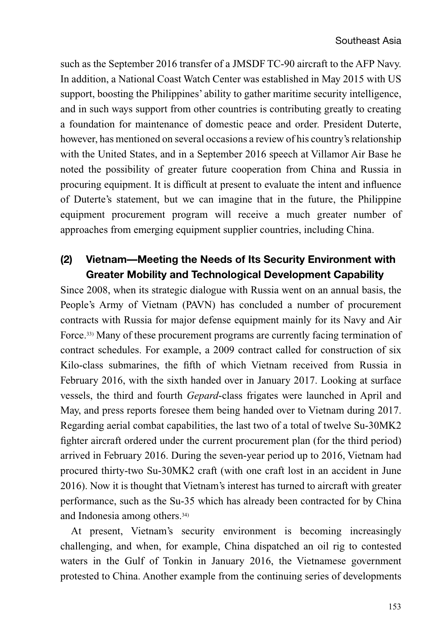such as the September 2016 transfer of a JMSDF TC-90 aircraft to the AFP Navy. In addition, a National Coast Watch Center was established in May 2015 with US support, boosting the Philippines' ability to gather maritime security intelligence, and in such ways support from other countries is contributing greatly to creating a foundation for maintenance of domestic peace and order. President Duterte, however, has mentioned on several occasions a review of his country's relationship with the United States, and in a September 2016 speech at Villamor Air Base he noted the possibility of greater future cooperation from China and Russia in procuring equipment. It is difficult at present to evaluate the intent and influence of Duterte's statement, but we can imagine that in the future, the Philippine equipment procurement program will receive a much greater number of approaches from emerging equipment supplier countries, including China.

# **(2) Vietnam—Meeting the Needs of Its Security Environment with Greater Mobility and Technological Development Capability**

Since 2008, when its strategic dialogue with Russia went on an annual basis, the People's Army of Vietnam (PAVN) has concluded a number of procurement contracts with Russia for major defense equipment mainly for its Navy and Air Force.33) Many of these procurement programs are currently facing termination of contract schedules. For example, a 2009 contract called for construction of six Kilo-class submarines, the fifth of which Vietnam received from Russia in February 2016, with the sixth handed over in January 2017. Looking at surface vessels, the third and fourth *Gepard*-class frigates were launched in April and May, and press reports foresee them being handed over to Vietnam during 2017. Regarding aerial combat capabilities, the last two of a total of twelve Su-30MK2 fighter aircraft ordered under the current procurement plan (for the third period) arrived in February 2016. During the seven-year period up to 2016, Vietnam had procured thirty-two Su-30MK2 craft (with one craft lost in an accident in June 2016). Now it is thought that Vietnam's interest has turned to aircraft with greater performance, such as the Su-35 which has already been contracted for by China and Indonesia among others.34)

At present, Vietnam's security environment is becoming increasingly challenging, and when, for example, China dispatched an oil rig to contested waters in the Gulf of Tonkin in January 2016, the Vietnamese government protested to China. Another example from the continuing series of developments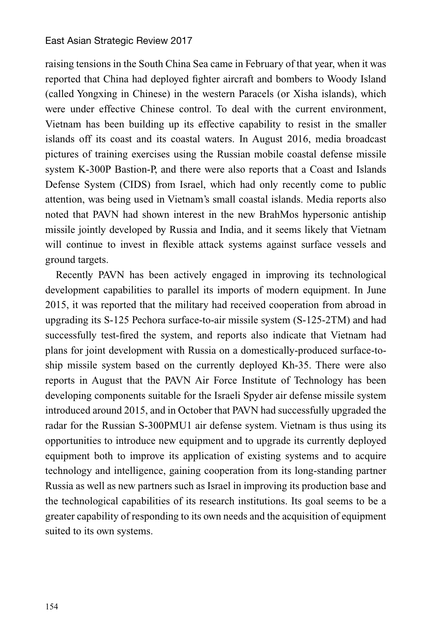raising tensions in the South China Sea came in February of that year, when it was reported that China had deployed fighter aircraft and bombers to Woody Island (called Yongxing in Chinese) in the western Paracels (or Xisha islands), which were under effective Chinese control. To deal with the current environment, Vietnam has been building up its effective capability to resist in the smaller islands off its coast and its coastal waters. In August 2016, media broadcast pictures of training exercises using the Russian mobile coastal defense missile system K-300P Bastion-P, and there were also reports that a Coast and Islands Defense System (CIDS) from Israel, which had only recently come to public attention, was being used in Vietnam's small coastal islands. Media reports also noted that PAVN had shown interest in the new BrahMos hypersonic antiship missile jointly developed by Russia and India, and it seems likely that Vietnam will continue to invest in flexible attack systems against surface vessels and ground targets.

Recently PAVN has been actively engaged in improving its technological development capabilities to parallel its imports of modern equipment. In June 2015, it was reported that the military had received cooperation from abroad in upgrading its S-125 Pechora surface-to-air missile system (S-125-2TM) and had successfully test-fired the system, and reports also indicate that Vietnam had plans for joint development with Russia on a domestically-produced surface-toship missile system based on the currently deployed Kh-35. There were also reports in August that the PAVN Air Force Institute of Technology has been developing components suitable for the Israeli Spyder air defense missile system introduced around 2015, and in October that PAVN had successfully upgraded the radar for the Russian S-300PMU1 air defense system. Vietnam is thus using its opportunities to introduce new equipment and to upgrade its currently deployed equipment both to improve its application of existing systems and to acquire technology and intelligence, gaining cooperation from its long-standing partner Russia as well as new partners such as Israel in improving its production base and the technological capabilities of its research institutions. Its goal seems to be a greater capability of responding to its own needs and the acquisition of equipment suited to its own systems.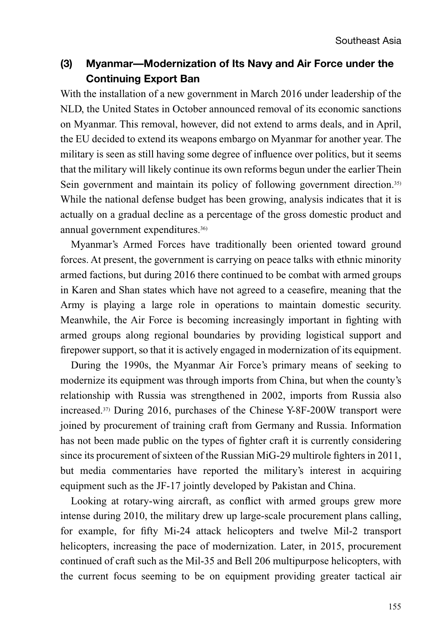# **(3) Myanmar—Modernization of Its Navy and Air Force under the Continuing Export Ban**

With the installation of a new government in March 2016 under leadership of the NLD, the United States in October announced removal of its economic sanctions on Myanmar. This removal, however, did not extend to arms deals, and in April, the EU decided to extend its weapons embargo on Myanmar for another year. The military is seen as still having some degree of influence over politics, but it seems that the military will likely continue its own reforms begun under the earlier Thein Sein government and maintain its policy of following government direction.<sup>35)</sup> While the national defense budget has been growing, analysis indicates that it is actually on a gradual decline as a percentage of the gross domestic product and annual government expenditures.36)

Myanmar's Armed Forces have traditionally been oriented toward ground forces. At present, the government is carrying on peace talks with ethnic minority armed factions, but during 2016 there continued to be combat with armed groups in Karen and Shan states which have not agreed to a ceasefire, meaning that the Army is playing a large role in operations to maintain domestic security. Meanwhile, the Air Force is becoming increasingly important in fighting with armed groups along regional boundaries by providing logistical support and firepower support, so that it is actively engaged in modernization of its equipment.

During the 1990s, the Myanmar Air Force's primary means of seeking to modernize its equipment was through imports from China, but when the county's relationship with Russia was strengthened in 2002, imports from Russia also increased.37) During 2016, purchases of the Chinese Y-8F-200W transport were joined by procurement of training craft from Germany and Russia. Information has not been made public on the types of fighter craft it is currently considering since its procurement of sixteen of the Russian MiG-29 multirole fighters in 2011, but media commentaries have reported the military's interest in acquiring equipment such as the JF-17 jointly developed by Pakistan and China.

Looking at rotary-wing aircraft, as conflict with armed groups grew more intense during 2010, the military drew up large-scale procurement plans calling, for example, for fifty Mi-24 attack helicopters and twelve Mil-2 transport helicopters, increasing the pace of modernization. Later, in 2015, procurement continued of craft such as the Mil-35 and Bell 206 multipurpose helicopters, with the current focus seeming to be on equipment providing greater tactical air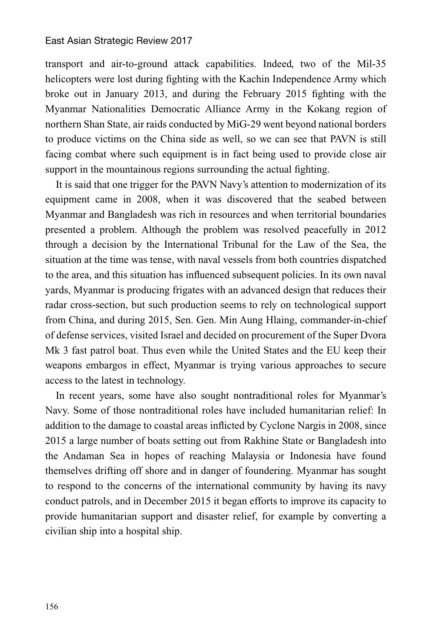transport and air-to-ground attack capabilities. Indeed, two of the Mil-35 helicopters were lost during fighting with the Kachin Independence Army which broke out in January 2013, and during the February 2015 fighting with the Myanmar Nationalities Democratic Alliance Army in the Kokang region of northern Shan State, air raids conducted by MiG-29 went beyond national borders to produce victims on the China side as well, so we can see that PAVN is still facing combat where such equipment is in fact being used to provide close air support in the mountainous regions surrounding the actual fighting.

It is said that one trigger for the PAVN Navy's attention to modernization of its equipment came in 2008, when it was discovered that the seabed between Myanmar and Bangladesh was rich in resources and when territorial boundaries presented a problem. Although the problem was resolved peacefully in 2012 through a decision by the International Tribunal for the Law of the Sea, the situation at the time was tense, with naval vessels from both countries dispatched to the area, and this situation has influenced subsequent policies. In its own naval yards, Myanmar is producing frigates with an advanced design that reduces their radar cross-section, but such production seems to rely on technological support from China, and during 2015, Sen. Gen. Min Aung Hlaing, commander-in-chief of defense services, visited Israel and decided on procurement of the Super Dvora Mk 3 fast patrol boat. Thus even while the United States and the EU keep their weapons embargos in effect, Myanmar is trying various approaches to secure access to the latest in technology.

In recent years, some have also sought nontraditional roles for Myanmar's Navy. Some of those nontraditional roles have included humanitarian relief: In addition to the damage to coastal areas inflicted by Cyclone Nargis in 2008, since 2015 a large number of boats setting out from Rakhine State or Bangladesh into the Andaman Sea in hopes of reaching Malaysia or Indonesia have found themselves drifting off shore and in danger of foundering. Myanmar has sought to respond to the concerns of the international community by having its navy conduct patrols, and in December 2015 it began efforts to improve its capacity to provide humanitarian support and disaster relief, for example by converting a civilian ship into a hospital ship.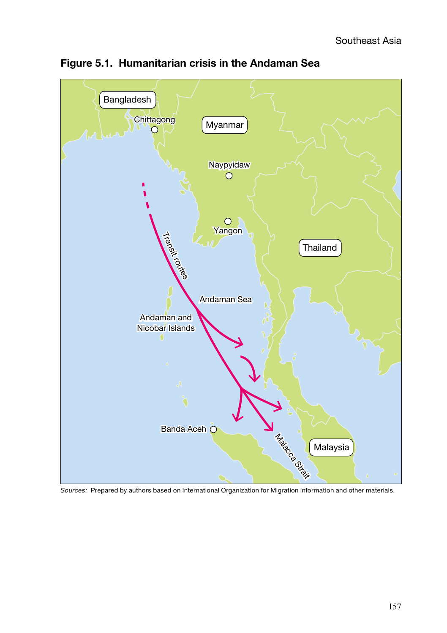

**Figure 5.1. Humanitarian crisis in the Andaman Sea**

Sources: Prepared by authors based on International Organization for Migration information and other materials.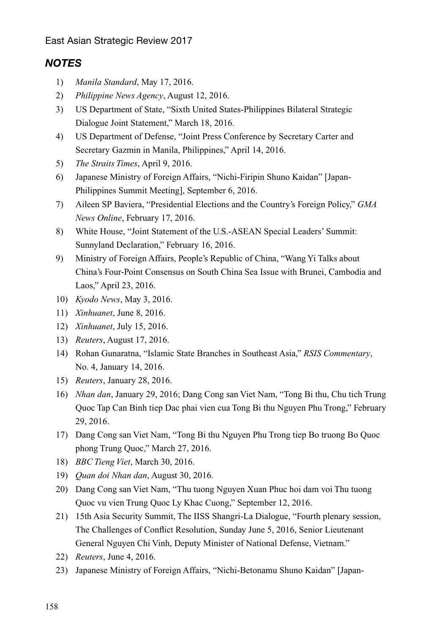### *NOTES*

- 1) *Manila Standard*, May 17, 2016.
- 2) *Philippine News Agency*, August 12, 2016.
- 3) US Department of State, "Sixth United States-Philippines Bilateral Strategic Dialogue Joint Statement," March 18, 2016.
- 4) US Department of Defense, "Joint Press Conference by Secretary Carter and Secretary Gazmin in Manila, Philippines," April 14, 2016.
- 5) *The Straits Times*, April 9, 2016.
- 6) Japanese Ministry of Foreign Affairs, "Nichi-Firipin Shuno Kaidan" [Japan-Philippines Summit Meeting], September 6, 2016.
- 7) Aileen SP Baviera, "Presidential Elections and the Country's Foreign Policy," *GMA News Online*, February 17, 2016.
- 8) White House, "Joint Statement of the U.S.-ASEAN Special Leaders' Summit: Sunnyland Declaration," February 16, 2016.
- 9) Ministry of Foreign Affairs, People's Republic of China, "Wang Yi Talks about China's Four-Point Consensus on South China Sea Issue with Brunei, Cambodia and Laos," April 23, 2016.
- 10) *Kyodo News*, May 3, 2016.
- 11) *Xinhuanet*, June 8, 2016.
- 12) *Xinhuanet*, July 15, 2016.
- 13) *Reuters*, August 17, 2016.
- 14) Rohan Gunaratna, "Islamic State Branches in Southeast Asia," *RSIS Commentary*, No. 4, January 14, 2016.
- 15) *Reuters*, January 28, 2016.
- 16) *Nhan dan*, January 29, 2016; Dang Cong san Viet Nam, "Tong Bi thu, Chu tich Trung Quoc Tap Can Binh tiep Dac phai vien cua Tong Bi thu Nguyen Phu Trong," February 29, 2016.
- 17) Dang Cong san Viet Nam, "Tong Bi thu Nguyen Phu Trong tiep Bo truong Bo Quoc phong Trung Quoc," March 27, 2016.
- 18) *BBC Tieng Viet*, March 30, 2016.
- 19) *Quan doi Nhan dan*, August 30, 2016.
- 20) Dang Cong san Viet Nam, "Thu tuong Nguyen Xuan Phuc hoi dam voi Thu tuong Quoc vu vien Trung Quoc Ly Khac Cuong," September 12, 2016.
- 21) 15th Asia Security Summit, The IISS Shangri-La Dialogue, "Fourth plenary session, The Challenges of Conflict Resolution, Sunday June 5, 2016, Senior Lieutenant General Nguyen Chi Vinh, Deputy Minister of National Defense, Vietnam."
- 22) *Reuters*, June 4, 2016.
- 23) Japanese Ministry of Foreign Affairs, "Nichi-Betonamu Shuno Kaidan" [Japan-